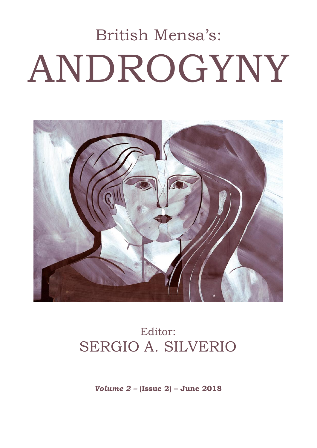# British Mensa's: ANDROGYNY



## Editor: SERGIO A. SILVERIO

*Volume 2 –* **(Issue 2) – June 2018**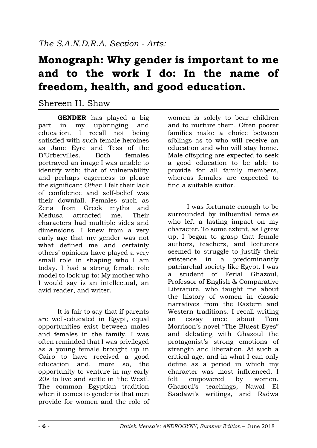## **Monograph: Why gender is important to me and to the work I do: In the name of freedom, health, and good education.**

#### Shereen H. Shaw

**GENDER** has played a big part in my upbringing and education. I recall not being satisfied with such female heroines as Jane Eyre and Tess of the D'Urbervilles. Both females portrayed an image I was unable to identify with; that of vulnerability and perhaps eagerness to please the significant *Other*. I felt their lack of confidence and self-belief was their downfall. Females such as Zena from Greek myths and Medusa attracted me. Their characters had multiple sides and dimensions. I knew from a very early age that my gender was not what defined me and certainly others' opinions have played a very small role in shaping who I am today. I had a strong female role model to look up to: My mother who I would say is an intellectual, an avid reader, and writer.

It is fair to say that if parents are well-educated in Egypt, equal opportunities exist between males and females in the family. I was often reminded that I was privileged as a young female brought up in Cairo to have received a good education and, more so, the opportunity to venture in my early 20s to live and settle in 'the West'. The common Egyptian tradition when it comes to gender is that men provide for women and the role of women is solely to bear children and to nurture them. Often poorer families make a choice between siblings as to who will receive an education and who will stay home. Male offspring are expected to seek a good education to be able to provide for all family members, whereas females are expected to find a suitable suitor.

I was fortunate enough to be surrounded by influential females who left a lasting impact on my character. To some extent, as I grew up, I began to grasp that female authors, teachers, and lecturers seemed to struggle to justify their existence in a predominantly patriarchal society like Egypt. I was a student of Ferial Ghazoul, Professor of English & Comparative Literature, who taught me about the history of women in classic narratives from the Eastern and Western traditions. I recall writing an essay once about Toni Morrison's novel "The Bluest Eves" and debating with Ghazoul the protagonist's strong emotions of strength and liberation. At such a critical age, and in what I can only define as a period in which my character was most influenced, I felt empowered by women. Ghazoul's teachings, Nawal El Saadawi's writings, and Radwa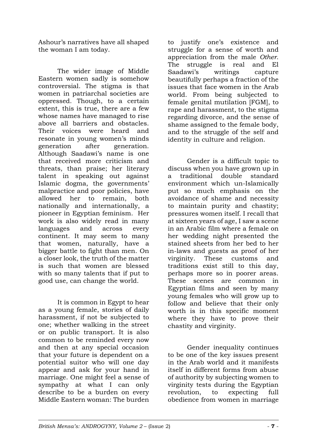Ashour's narratives have all shaped the woman I am today.

The wider image of Middle Eastern women sadly is somehow controversial. The stigma is that women in patriarchal societies are oppressed. Though, to a certain extent, this is true, there are a few whose names have managed to rise above all barriers and obstacles. Their voices were heard and resonate in young women's minds generation after generation. Although Saadawi's name is one that received more criticism and threats, than praise; her literary talent in speaking out against Islamic dogma, the governments' malpractice and poor policies, have allowed her to remain, both nationally and internationally, a pioneer in Egyptian feminism. Her work is also widely read in many languages and across every continent. It may seem to many that women, naturally, have a bigger battle to fight than men. On a closer look, the truth of the matter is such that women are blessed with so many talents that if put to good use, can change the world.

It is common in Egypt to hear as a young female, stories of daily harassment, if not be subjected to one; whether walking in the street or on public transport. It is also common to be reminded every now and then at any special occasion that your future is dependent on a potential suitor who will one day appear and ask for your hand in marriage. One might feel a sense of sympathy at what I can only describe to be a burden on every Middle Eastern woman: The burden

to justify one's existence and struggle for a sense of worth and appreciation from the male *Other*. The struggle is real and El Saadawi's writings capture beautifully perhaps a fraction of the issues that face women in the Arab world. From being subjected to female genital mutilation [FGM], to rape and harassment, to the stigma regarding divorce, and the sense of shame assigned to the female body, and to the struggle of the self and identity in culture and religion.

Gender is a difficult topic to discuss when you have grown up in a traditional double standard environment which un-Islamically put so much emphasis on the avoidance of shame and necessity to maintain purity and chastity; pressures women itself. I recall that at sixteen years of age, I saw a scene in an Arabic film where a female on her wedding night presented the stained sheets from her bed to her in-laws and guests as proof of her virginity. These customs and traditions exist still to this day, perhaps more so in poorer areas. These scenes are common in Egyptian films and seen by many young females who will grow up to follow and believe that their only worth is in this specific moment where they have to prove their chastity and virginity.

Gender inequality continues to be one of the key issues present in the Arab world and it manifests itself in different forms from abuse of authority by subjecting women to virginity tests during the Egyptian revolution, to expecting full obedience from women in marriage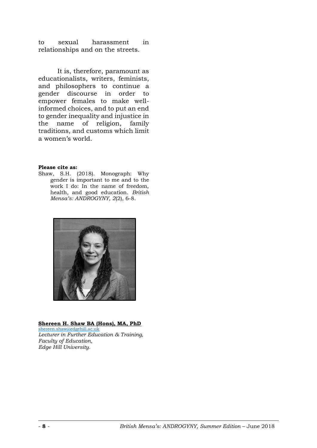to sexual harassment in relationships and on the streets.

It is, therefore, paramount as educationalists, writers, feminists, and philosophers to continue a gender discourse in order to empower females to make wellinformed choices, and to put an end to gender inequality and injustice in the name of religion, family traditions, and customs which limit a women's world.

**Please cite as:**

Shaw, S.H. (2018). Monograph: Why gender is important to me and to the work I do: In the name of freedom, health, and good education. *British Mensa's: ANDROGYNY, 2*(2), 6-8.



**Shereen H. Shaw BA (Hons), MA, PhD**

[shereen.shaw@edgehill.ac.uk](mailto:shereen.shaw@edgehill.ac.uk) *Lecturer in Further Education & Training, Faculty of Education, Edge Hill University.*